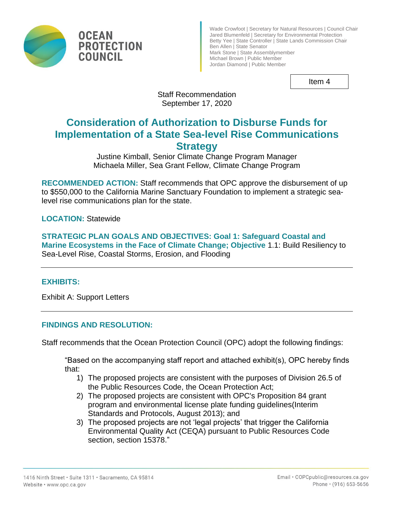

Wade Crowfoot | Secretary for Natural Resources | Council Chair Jared Blumenfeld | Secretary for Environmental Protection Betty Yee | State Controller | State Lands Commission Chair Ben Allen | State Senator Mark Stone | State Assemblymember Michael Brown | Public Member Jordan Diamond | Public Member

Item 4

Staff Recommendation September 17, 2020

# **Consideration of Authorization to Disburse Funds for Implementation of a State Sea-level Rise Communications Strategy**

Justine Kimball, Senior Climate Change Program Manager Michaela Miller, Sea Grant Fellow, Climate Change Program

**RECOMMENDED ACTION:** Staff recommends that OPC approve the disbursement of up to \$550,000 to the California Marine Sanctuary Foundation to implement a strategic sealevel rise communications plan for the state.

**LOCATION:** Statewide

**STRATEGIC PLAN GOALS AND OBJECTIVES: Goal 1: Safeguard Coastal and Marine Ecosystems in the Face of Climate Change; Objective** 1.1: Build Resiliency to Sea-Level Rise, Coastal Storms, Erosion, and Flooding

## **EXHIBITS:**

Exhibit A: Support Letters

## **FINDINGS AND RESOLUTION:**

Staff recommends that the Ocean Protection Council (OPC) adopt the following findings:

"Based on the accompanying staff report and attached exhibit(s), OPC hereby finds that:

- 1) The proposed projects are consistent with the purposes of Division 26.5 of the Public Resources Code, the Ocean Protection Act;
- 2) The proposed projects are consistent with OPC's Proposition 84 grant program and environmental license plate funding guidelines(Interim Standards and Protocols, August 2013); and
- 3) The proposed projects are not 'legal projects' that trigger the California Environmental Quality Act (CEQA) pursuant to Public Resources Code section, section 15378."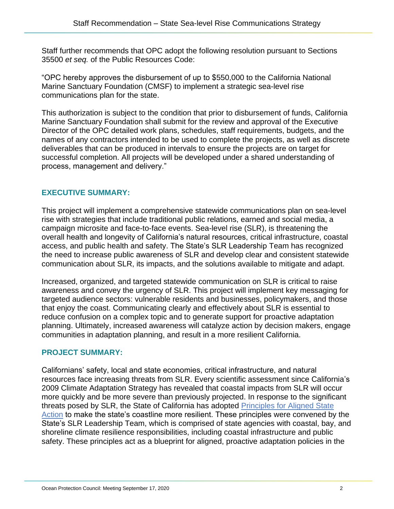Staff further recommends that OPC adopt the following resolution pursuant to Sections 35500 *et seq.* of the Public Resources Code:

"OPC hereby approves the disbursement of up to \$550,000 to the California National Marine Sanctuary Foundation (CMSF) to implement a strategic sea-level rise communications plan for the state.

This authorization is subject to the condition that prior to disbursement of funds, California Marine Sanctuary Foundation shall submit for the review and approval of the Executive Director of the OPC detailed work plans, schedules, staff requirements, budgets, and the names of any contractors intended to be used to complete the projects, as well as discrete deliverables that can be produced in intervals to ensure the projects are on target for successful completion. All projects will be developed under a shared understanding of process, management and delivery."

## **EXECUTIVE SUMMARY:**

This project will implement a comprehensive statewide communications plan on sea-level rise with strategies that include traditional public relations, earned and social media, a campaign microsite and face-to-face events. Sea-level rise (SLR), is threatening the overall health and longevity of California's natural resources, critical infrastructure, coastal access, and public health and safety. The State's SLR Leadership Team has recognized the need to increase public awareness of SLR and develop clear and consistent statewide communication about SLR, its impacts, and the solutions available to mitigate and adapt.

Increased, organized, and targeted statewide communication on SLR is critical to raise awareness and convey the urgency of SLR. This project will implement key messaging for targeted audience sectors: vulnerable residents and businesses, policymakers, and those that enjoy the coast. Communicating clearly and effectively about SLR is essential to reduce confusion on a complex topic and to generate support for proactive adaptation planning. Ultimately, increased awareness will catalyze action by decision makers, engage communities in adaptation planning, and result in a more resilient California.

## **PROJECT SUMMARY:**

Californians' safety, local and state economies, critical infrastructure, and natural resources face increasing threats from SLR. Every scientific assessment since California's 2009 Climate Adaptation Strategy has revealed that coastal impacts from SLR will occur more quickly and be more severe than previously projected. In response to the significant threats posed by SLR, the State of California has adopted [Principles for Aligned State](http://www.opc.ca.gov/webmaster/_media_library/2020/05/State-SLR-Principles_FINAL_April-2020.pdf)  [Action](http://www.opc.ca.gov/webmaster/_media_library/2020/05/State-SLR-Principles_FINAL_April-2020.pdf) to make the state's coastline more resilient. These principles were convened by the State's SLR Leadership Team, which is comprised of state agencies with coastal, bay, and shoreline climate resilience responsibilities, including coastal infrastructure and public safety. These principles act as a blueprint for aligned, proactive adaptation policies in the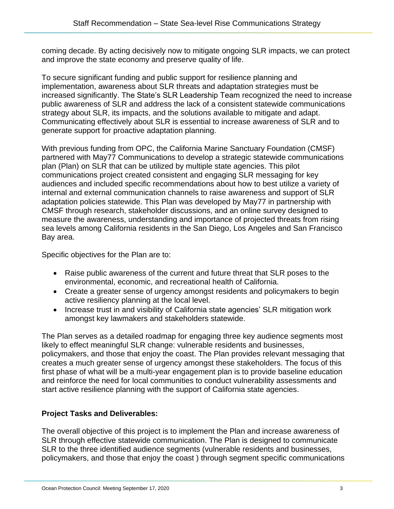coming decade. By acting decisively now to mitigate ongoing SLR impacts, we can protect and improve the state economy and preserve quality of life.

To secure significant funding and public support for resilience planning and implementation, awareness about SLR threats and adaptation strategies must be increased significantly. The State's SLR Leadership Team recognized the need to increase public awareness of SLR and address the lack of a consistent statewide communications strategy about SLR, its impacts, and the solutions available to mitigate and adapt. Communicating effectively about SLR is essential to increase awareness of SLR and to generate support for proactive adaptation planning.

With previous funding from OPC, the California Marine Sanctuary Foundation (CMSF) partnered with May77 Communications to develop a strategic statewide communications plan (Plan) on SLR that can be utilized by multiple state agencies. This pilot communications project created consistent and engaging SLR messaging for key audiences and included specific recommendations about how to best utilize a variety of internal and external communication channels to raise awareness and support of SLR adaptation policies statewide. This Plan was developed by May77 in partnership with CMSF through research, stakeholder discussions, and an online survey designed to measure the awareness, understanding and importance of projected threats from rising sea levels among California residents in the San Diego, Los Angeles and San Francisco Bay area.

Specific objectives for the Plan are to:

- Raise public awareness of the current and future threat that SLR poses to the environmental, economic, and recreational health of California.
- Create a greater sense of urgency amongst residents and policymakers to begin active resiliency planning at the local level.
- Increase trust in and visibility of California state agencies' SLR mitigation work amongst key lawmakers and stakeholders statewide.

The Plan serves as a detailed roadmap for engaging three key audience segments most likely to effect meaningful SLR change: vulnerable residents and businesses, policymakers, and those that enjoy the coast. The Plan provides relevant messaging that creates a much greater sense of urgency amongst these stakeholders. The focus of this first phase of what will be a multi-year engagement plan is to provide baseline education and reinforce the need for local communities to conduct vulnerability assessments and start active resilience planning with the support of California state agencies.

## **Project Tasks and Deliverables:**

The overall objective of this project is to implement the Plan and increase awareness of SLR through effective statewide communication. The Plan is designed to communicate SLR to the three identified audience segments (vulnerable residents and businesses, policymakers, and those that enjoy the coast ) through segment specific communications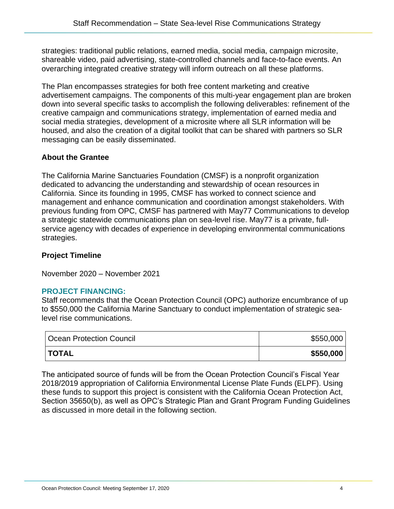strategies: traditional public relations, earned media, social media, campaign microsite, shareable video, paid advertising, state-controlled channels and face-to-face events. An overarching integrated creative strategy will inform outreach on all these platforms.

The Plan encompasses strategies for both free content marketing and creative advertisement campaigns. The components of this multi-year engagement plan are broken down into several specific tasks to accomplish the following deliverables: refinement of the creative campaign and communications strategy, implementation of earned media and social media strategies, development of a microsite where all SLR information will be housed, and also the creation of a digital toolkit that can be shared with partners so SLR messaging can be easily disseminated.

## **About the Grantee**

The California Marine Sanctuaries Foundation (CMSF) is a nonprofit organization dedicated to advancing the understanding and stewardship of ocean resources in California. Since its founding in 1995, CMSF has worked to connect science and management and enhance communication and coordination amongst stakeholders. With previous funding from OPC, CMSF has partnered with May77 Communications to develop a strategic statewide communications plan on sea-level rise. May77 is a private, fullservice agency with decades of experience in developing environmental communications strategies.

## **Project Timeline**

November 2020 – November 2021

## **PROJECT FINANCING:**

Staff recommends that the Ocean Protection Council (OPC) authorize encumbrance of up to \$550,000 the California Marine Sanctuary to conduct implementation of strategic sealevel rise communications.

| <b>Ocean Protection Council</b> | \$550,000 |
|---------------------------------|-----------|
| <b>ITOTAL</b>                   | \$550,000 |

The anticipated source of funds will be from the Ocean Protection Council's Fiscal Year 2018/2019 appropriation of California Environmental License Plate Funds (ELPF). Using these funds to support this project is consistent with the California Ocean Protection Act, Section 35650(b), as well as OPC's Strategic Plan and Grant Program Funding Guidelines as discussed in more detail in the following section.